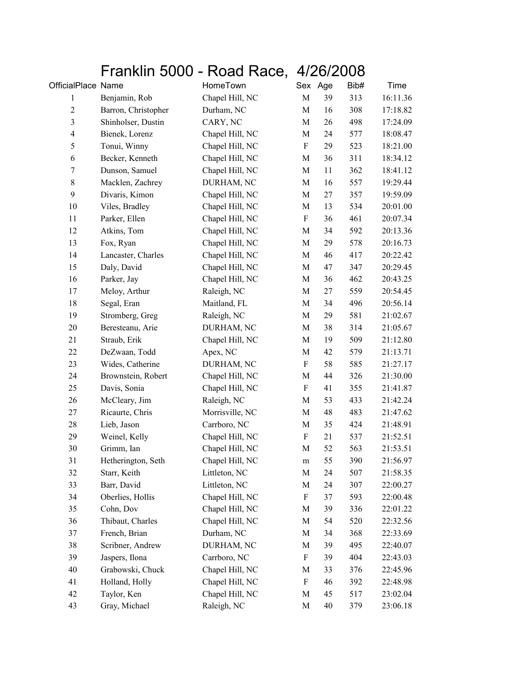## Franklin 5000 - Road Race, 4/26/2008

| OfficialPlace Name      |                     | HomeTown        |             | Sex Age | Bib# | Time     |
|-------------------------|---------------------|-----------------|-------------|---------|------|----------|
| $\mathbf{1}$            | Benjamin, Rob       | Chapel Hill, NC | $\mathbf M$ | 39      | 313  | 16:11.36 |
| $\mathbf{2}$            | Barron, Christopher | Durham, NC      | $\mathbf M$ | 16      | 308  | 17:18.82 |
| $\mathfrak{Z}$          | Shinholser, Dustin  | CARY, NC        | $\mathbf M$ | 26      | 498  | 17:24.09 |
| $\overline{\mathbf{4}}$ | Bienek, Lorenz      | Chapel Hill, NC | $\mathbf M$ | 24      | 577  | 18:08.47 |
| 5                       | Tonui, Winny        | Chapel Hill, NC | F           | 29      | 523  | 18:21.00 |
| 6                       | Becker, Kenneth     | Chapel Hill, NC | M           | 36      | 311  | 18:34.12 |
| $\tau$                  | Dunson, Samuel      | Chapel Hill, NC | M           | 11      | 362  | 18:41.12 |
| $8\,$                   | Macklen, Zachrey    | DURHAM, NC      | M           | 16      | 557  | 19:29.44 |
| 9                       | Divaris, Kimon      | Chapel Hill, NC | $\mathbf M$ | 27      | 357  | 19:59.09 |
| 10                      | Viles, Bradley      | Chapel Hill, NC | $\mathbf M$ | 13      | 534  | 20:01.00 |
| 11                      | Parker, Ellen       | Chapel Hill, NC | F           | 36      | 461  | 20:07.34 |
| 12                      | Atkins, Tom         | Chapel Hill, NC | M           | 34      | 592  | 20:13.36 |
| 13                      | Fox, Ryan           | Chapel Hill, NC | M           | 29      | 578  | 20:16.73 |
| 14                      | Lancaster, Charles  | Chapel Hill, NC | $\mathbf M$ | 46      | 417  | 20:22.42 |
| 15                      | Daly, David         | Chapel Hill, NC | M           | 47      | 347  | 20:29.45 |
| 16                      | Parker, Jay         | Chapel Hill, NC | M           | 36      | 462  | 20:43.25 |
| 17                      | Meloy, Arthur       | Raleigh, NC     | M           | 27      | 559  | 20:54.45 |
| 18                      | Segal, Eran         | Maitland, FL    | M           | 34      | 496  | 20:56.14 |
| 19                      | Stromberg, Greg     | Raleigh, NC     | M           | 29      | 581  | 21:02.67 |
| 20                      | Beresteanu, Arie    | DURHAM, NC      | $\mathbf M$ | 38      | 314  | 21:05.67 |
| 21                      | Straub, Erik        | Chapel Hill, NC | M           | 19      | 509  | 21:12.80 |
| 22                      | DeZwaan, Todd       | Apex, NC        | M           | 42      | 579  | 21:13.71 |
| 23                      | Wides, Catherine    | DURHAM, NC      | ${\bf F}$   | 58      | 585  | 21:27.17 |
| 24                      | Brownstein, Robert  | Chapel Hill, NC | M           | 44      | 326  | 21:30.00 |
| 25                      | Davis, Sonia        | Chapel Hill, NC | F           | 41      | 355  | 21:41.87 |
| 26                      | McCleary, Jim       | Raleigh, NC     | $\mathbf M$ | 53      | 433  | 21:42.24 |
| 27                      | Ricaurte, Chris     | Morrisville, NC | M           | 48      | 483  | 21:47.62 |
| 28                      | Lieb, Jason         | Carrboro, NC    | M           | 35      | 424  | 21:48.91 |
| 29                      | Weinel, Kelly       | Chapel Hill, NC | ${\bf F}$   | 21      | 537  | 21:52.51 |
| 30                      | Grimm, Ian          | Chapel Hill, NC | $\mathbf M$ | 52      | 563  | 21:53.51 |
| 31                      | Hetherington, Seth  | Chapel Hill, NC | m           | 55      | 390  | 21:56.97 |
| 32                      | Starr, Keith        | Littleton, NC   | M           | 24      | 507  | 21:58.35 |
| 33                      | Barr, David         | Littleton, NC   | M           | 24      | 307  | 22:00.27 |
| 34                      | Oberlies, Hollis    | Chapel Hill, NC | ${\bf F}$   | 37      | 593  | 22:00.48 |
| 35                      | Cohn, Dov           | Chapel Hill, NC | M           | 39      | 336  | 22:01.22 |
| 36                      | Thibaut, Charles    | Chapel Hill, NC | M           | 54      | 520  | 22:32.56 |
| 37                      | French, Brian       | Durham, NC      | M           | 34      | 368  | 22:33.69 |
| 38                      | Scribner, Andrew    | DURHAM, NC      | M           | 39      | 495  | 22:40.07 |
| 39                      | Jaspers, Ilona      | Carrboro, NC    | F           | 39      | 404  | 22:43.03 |
| 40                      | Grabowski, Chuck    | Chapel Hill, NC | M           | 33      | 376  | 22:45.96 |
| 41                      | Holland, Holly      | Chapel Hill, NC | F           | 46      | 392  | 22:48.98 |
| 42                      | Taylor, Ken         | Chapel Hill, NC | M           | 45      | 517  | 23:02.04 |
| 43                      | Gray, Michael       | Raleigh, NC     | $\mathbf M$ | 40      | 379  | 23:06.18 |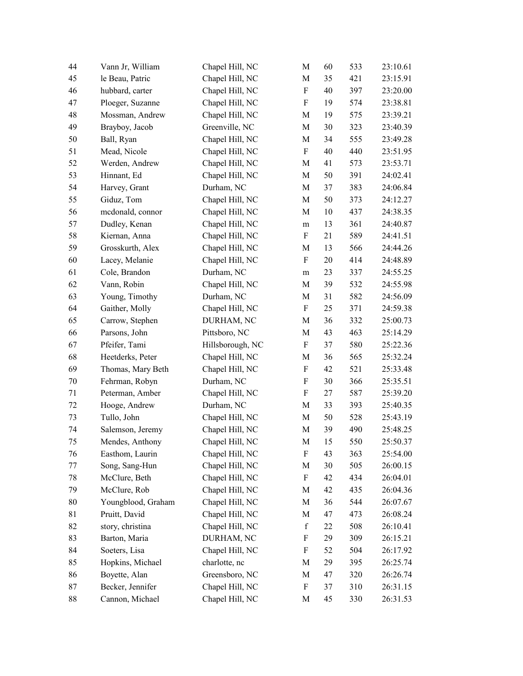| 44 | Vann Jr, William   | Chapel Hill, NC  | M                         | 60     | 533 | 23:10.61 |
|----|--------------------|------------------|---------------------------|--------|-----|----------|
| 45 | le Beau, Patric    | Chapel Hill, NC  | M                         | 35     | 421 | 23:15.91 |
| 46 | hubbard, carter    | Chapel Hill, NC  | ${\bf F}$                 | 40     | 397 | 23:20.00 |
| 47 | Ploeger, Suzanne   | Chapel Hill, NC  | F                         | 19     | 574 | 23:38.81 |
| 48 | Mossman, Andrew    | Chapel Hill, NC  | M                         | 19     | 575 | 23:39.21 |
| 49 | Brayboy, Jacob     | Greenville, NC   | M                         | $30\,$ | 323 | 23:40.39 |
| 50 | Ball, Ryan         | Chapel Hill, NC  | M                         | 34     | 555 | 23:49.28 |
| 51 | Mead, Nicole       | Chapel Hill, NC  | ${\bf F}$                 | 40     | 440 | 23:51.95 |
| 52 | Werden, Andrew     | Chapel Hill, NC  | M                         | 41     | 573 | 23:53.71 |
| 53 | Hinnant, Ed        | Chapel Hill, NC  | M                         | 50     | 391 | 24:02.41 |
| 54 | Harvey, Grant      | Durham, NC       | $\mathbf M$               | 37     | 383 | 24:06.84 |
| 55 | Giduz, Tom         | Chapel Hill, NC  | M                         | 50     | 373 | 24:12.27 |
| 56 | mcdonald, connor   | Chapel Hill, NC  | M                         | 10     | 437 | 24:38.35 |
| 57 | Dudley, Kenan      | Chapel Hill, NC  | m                         | 13     | 361 | 24:40.87 |
| 58 | Kiernan, Anna      | Chapel Hill, NC  | F                         | 21     | 589 | 24:41.51 |
| 59 | Grosskurth, Alex   | Chapel Hill, NC  | M                         | 13     | 566 | 24:44.26 |
| 60 | Lacey, Melanie     | Chapel Hill, NC  | F                         | 20     | 414 | 24:48.89 |
| 61 | Cole, Brandon      | Durham, NC       | m                         | 23     | 337 | 24:55.25 |
| 62 | Vann, Robin        | Chapel Hill, NC  | M                         | 39     | 532 | 24:55.98 |
| 63 | Young, Timothy     | Durham, NC       | M                         | 31     | 582 | 24:56.09 |
| 64 | Gaither, Molly     | Chapel Hill, NC  | F                         | 25     | 371 | 24:59.38 |
| 65 | Carrow, Stephen    | DURHAM, NC       | M                         | 36     | 332 | 25:00.73 |
| 66 | Parsons, John      | Pittsboro, NC    | M                         | 43     | 463 | 25:14.29 |
| 67 | Pfeifer, Tami      | Hillsborough, NC | F                         | 37     | 580 | 25:22.36 |
| 68 | Heetderks, Peter   | Chapel Hill, NC  | M                         | 36     | 565 | 25:32.24 |
| 69 | Thomas, Mary Beth  | Chapel Hill, NC  | ${\bf F}$                 | 42     | 521 | 25:33.48 |
| 70 | Fehrman, Robyn     | Durham, NC       | F                         | 30     | 366 | 25:35.51 |
| 71 | Peterman, Amber    | Chapel Hill, NC  | $\boldsymbol{\mathrm{F}}$ | 27     | 587 | 25:39.20 |
| 72 | Hooge, Andrew      | Durham, NC       | M                         | 33     | 393 | 25:40.35 |
| 73 | Tullo, John        | Chapel Hill, NC  | M                         | 50     | 528 | 25:43.19 |
| 74 | Salemson, Jeremy   | Chapel Hill, NC  | $\mathbf M$               | 39     | 490 | 25:48.25 |
| 75 | Mendes, Anthony    | Chapel Hill, NC  | M                         | 15     | 550 | 25:50.37 |
| 76 | Easthom, Laurin    | Chapel Hill, NC  | F                         | 43     | 363 | 25:54.00 |
| 77 | Song, Sang-Hun     | Chapel Hill, NC  | M                         | 30     | 505 | 26:00.15 |
| 78 | McClure, Beth      | Chapel Hill, NC  | F                         | 42     | 434 | 26:04.01 |
| 79 | McClure, Rob       | Chapel Hill, NC  | M                         | 42     | 435 | 26:04.36 |
| 80 | Youngblood, Graham | Chapel Hill, NC  | M                         | 36     | 544 | 26:07.67 |
| 81 | Pruitt, David      | Chapel Hill, NC  | M                         | 47     | 473 | 26:08.24 |
| 82 | story, christina   | Chapel Hill, NC  | $\mathbf f$               | 22     | 508 | 26:10.41 |
| 83 | Barton, Maria      | DURHAM, NC       | F                         | 29     | 309 | 26:15.21 |
| 84 | Soeters, Lisa      | Chapel Hill, NC  | F                         | 52     | 504 | 26:17.92 |
| 85 | Hopkins, Michael   | charlotte, nc    | M                         | 29     | 395 | 26:25.74 |
| 86 | Boyette, Alan      | Greensboro, NC   | M                         | 47     | 320 | 26:26.74 |
| 87 | Becker, Jennifer   | Chapel Hill, NC  | F                         | 37     | 310 | 26:31.15 |
| 88 | Cannon, Michael    | Chapel Hill, NC  | M                         | 45     | 330 | 26:31.53 |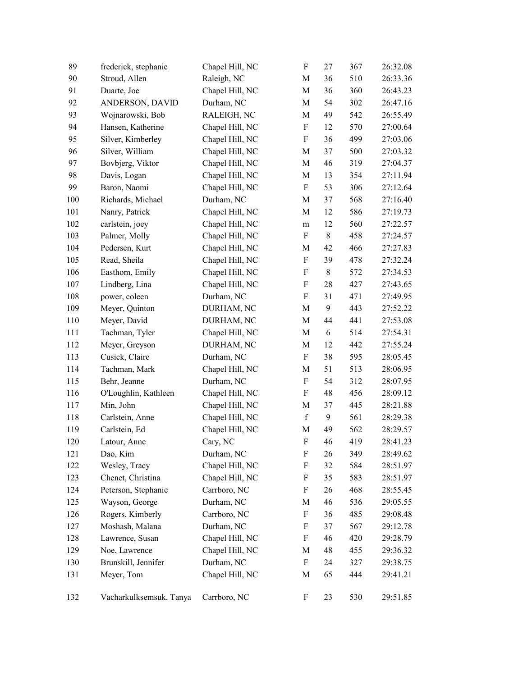| 89  | frederick, stephanie    | Chapel Hill, NC | $\boldsymbol{\mathrm{F}}$ | 27         | 367 | 26:32.08 |
|-----|-------------------------|-----------------|---------------------------|------------|-----|----------|
| 90  | Stroud, Allen           | Raleigh, NC     | $\mathbf M$               | 36         | 510 | 26:33.36 |
| 91  | Duarte, Joe             | Chapel Hill, NC | $\mathbf M$               | 36         | 360 | 26:43.23 |
| 92  | ANDERSON, DAVID         | Durham, NC      | M                         | 54         | 302 | 26:47.16 |
| 93  | Wojnarowski, Bob        | RALEIGH, NC     | M                         | 49         | 542 | 26:55.49 |
| 94  | Hansen, Katherine       | Chapel Hill, NC | ${\bf F}$                 | 12         | 570 | 27:00.64 |
| 95  | Silver, Kimberley       | Chapel Hill, NC | $\boldsymbol{\mathrm{F}}$ | 36         | 499 | 27:03.06 |
| 96  | Silver, William         | Chapel Hill, NC | $\mathbf M$               | 37         | 500 | 27:03.32 |
| 97  | Bovbjerg, Viktor        | Chapel Hill, NC | M                         | 46         | 319 | 27:04.37 |
| 98  | Davis, Logan            | Chapel Hill, NC | M                         | 13         | 354 | 27:11.94 |
| 99  | Baron, Naomi            | Chapel Hill, NC | $\boldsymbol{\mathrm{F}}$ | 53         | 306 | 27:12.64 |
| 100 | Richards, Michael       | Durham, NC      | M                         | 37         | 568 | 27:16.40 |
| 101 | Nanry, Patrick          | Chapel Hill, NC | $\mathbf M$               | 12         | 586 | 27:19.73 |
| 102 | carlstein, joey         | Chapel Hill, NC | ${\rm m}$                 | 12         | 560 | 27:22.57 |
| 103 | Palmer, Molly           | Chapel Hill, NC | ${\bf F}$                 | $8\,$      | 458 | 27:24.57 |
| 104 | Pedersen, Kurt          | Chapel Hill, NC | M                         | 42         | 466 | 27:27.83 |
| 105 | Read, Sheila            | Chapel Hill, NC | ${\bf F}$                 | 39         | 478 | 27:32.24 |
| 106 | Easthom, Emily          | Chapel Hill, NC | $\boldsymbol{\mathrm{F}}$ | $8\,$      | 572 | 27:34.53 |
| 107 | Lindberg, Lina          | Chapel Hill, NC | $\boldsymbol{\mathrm{F}}$ | 28         | 427 | 27:43.65 |
| 108 | power, coleen           | Durham, NC      | ${\bf F}$                 | 31         | 471 | 27:49.95 |
| 109 | Meyer, Quinton          | DURHAM, NC      | M                         | 9          | 443 | 27:52.22 |
| 110 | Meyer, David            | DURHAM, NC      | $\mathbf M$               | 44         | 441 | 27:53.08 |
| 111 | Tachman, Tyler          | Chapel Hill, NC | M                         | $\sqrt{6}$ | 514 | 27:54.31 |
| 112 | Meyer, Greyson          | DURHAM, NC      | $\mathbf M$               | 12         | 442 | 27:55.24 |
| 113 | Cusick, Claire          | Durham, NC      | F                         | 38         | 595 | 28:05.45 |
| 114 | Tachman, Mark           | Chapel Hill, NC | M                         | 51         | 513 | 28:06.95 |
| 115 | Behr, Jeanne            | Durham, NC      | F                         | 54         | 312 | 28:07.95 |
| 116 | O'Loughlin, Kathleen    | Chapel Hill, NC | $\boldsymbol{\mathrm{F}}$ | 48         | 456 | 28:09.12 |
| 117 | Min, John               | Chapel Hill, NC | M                         | 37         | 445 | 28:21.88 |
| 118 | Carlstein, Anne         | Chapel Hill, NC | $\mathbf f$               | 9          | 561 | 28:29.38 |
| 119 | Carlstein, Ed           | Chapel Hill, NC | $\mathbf M$               | 49         | 562 | 28:29.57 |
| 120 | Latour, Anne            | Cary, NC        | $\boldsymbol{\mathrm{F}}$ | 46         | 419 | 28:41.23 |
| 121 | Dao, Kim                | Durham, NC      | F                         | 26         | 349 | 28:49.62 |
| 122 | Wesley, Tracy           | Chapel Hill, NC | F                         | 32         | 584 | 28:51.97 |
| 123 | Chenet, Christina       | Chapel Hill, NC | F                         | 35         | 583 | 28:51.97 |
| 124 | Peterson, Stephanie     | Carrboro, NC    | F                         | 26         | 468 | 28:55.45 |
| 125 | Wayson, George          | Durham, NC      | M                         | 46         | 536 | 29:05.55 |
| 126 | Rogers, Kimberly        | Carrboro, NC    | F                         | 36         | 485 | 29:08.48 |
| 127 | Moshash, Malana         | Durham, NC      | F                         | 37         | 567 | 29:12.78 |
| 128 | Lawrence, Susan         | Chapel Hill, NC | F                         | 46         | 420 | 29:28.79 |
| 129 | Noe, Lawrence           | Chapel Hill, NC | M                         | 48         | 455 | 29:36.32 |
| 130 | Brunskill, Jennifer     | Durham, NC      | $\boldsymbol{\mathrm{F}}$ | 24         | 327 | 29:38.75 |
| 131 | Meyer, Tom              | Chapel Hill, NC | M                         | 65         | 444 | 29:41.21 |
| 132 | Vacharkulksemsuk, Tanya | Carrboro, NC    | F                         | 23         | 530 | 29:51.85 |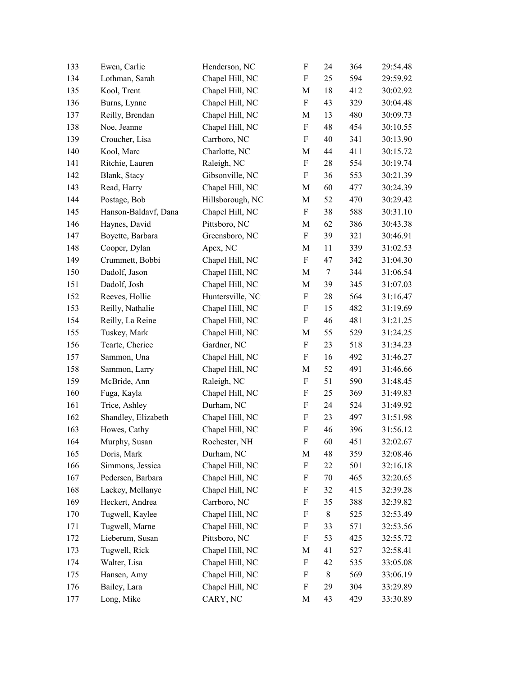| 133 | Ewen, Carlie         | Henderson, NC    | F                         | 24     | 364 | 29:54.48 |
|-----|----------------------|------------------|---------------------------|--------|-----|----------|
| 134 | Lothman, Sarah       | Chapel Hill, NC  | F                         | 25     | 594 | 29:59.92 |
| 135 | Kool, Trent          | Chapel Hill, NC  | $\mathbf M$               | 18     | 412 | 30:02.92 |
| 136 | Burns, Lynne         | Chapel Hill, NC  | F                         | 43     | 329 | 30:04.48 |
| 137 | Reilly, Brendan      | Chapel Hill, NC  | M                         | 13     | 480 | 30:09.73 |
| 138 | Noe, Jeanne          | Chapel Hill, NC  | $\boldsymbol{\mathrm{F}}$ | 48     | 454 | 30:10.55 |
| 139 | Croucher, Lisa       | Carrboro, NC     | F                         | 40     | 341 | 30:13.90 |
| 140 | Kool, Marc           | Charlotte, NC    | $\mathbf M$               | 44     | 411 | 30:15.72 |
| 141 | Ritchie, Lauren      | Raleigh, NC      | ${\bf F}$                 | 28     | 554 | 30:19.74 |
| 142 | Blank, Stacy         | Gibsonville, NC  | $\boldsymbol{\mathrm{F}}$ | 36     | 553 | 30:21.39 |
| 143 | Read, Harry          | Chapel Hill, NC  | $\mathbf M$               | 60     | 477 | 30:24.39 |
| 144 | Postage, Bob         | Hillsborough, NC | M                         | 52     | 470 | 30:29.42 |
| 145 | Hanson-Baldavf, Dana | Chapel Hill, NC  | F                         | 38     | 588 | 30:31.10 |
| 146 | Haynes, David        | Pittsboro, NC    | $\mathbf M$               | 62     | 386 | 30:43.38 |
| 147 | Boyette, Barbara     | Greensboro, NC   | F                         | 39     | 321 | 30:46.91 |
| 148 | Cooper, Dylan        | Apex, NC         | M                         | 11     | 339 | 31:02.53 |
| 149 | Crummett, Bobbi      | Chapel Hill, NC  | F                         | 47     | 342 | 31:04.30 |
| 150 | Dadolf, Jason        | Chapel Hill, NC  | M                         | $\tau$ | 344 | 31:06.54 |
| 151 | Dadolf, Josh         | Chapel Hill, NC  | M                         | 39     | 345 | 31:07.03 |
| 152 | Reeves, Hollie       | Huntersville, NC | ${\bf F}$                 | 28     | 564 | 31:16.47 |
| 153 | Reilly, Nathalie     | Chapel Hill, NC  | $\boldsymbol{\mathrm{F}}$ | 15     | 482 | 31:19.69 |
| 154 | Reilly, La Reine     | Chapel Hill, NC  | F                         | 46     | 481 | 31:21.25 |
| 155 | Tuskey, Mark         | Chapel Hill, NC  | M                         | 55     | 529 | 31:24.25 |
| 156 | Tearte, Cherice      | Gardner, NC      | $\boldsymbol{\mathrm{F}}$ | 23     | 518 | 31:34.23 |
| 157 | Sammon, Una          | Chapel Hill, NC  | $\boldsymbol{\mathrm{F}}$ | 16     | 492 | 31:46.27 |
| 158 | Sammon, Larry        | Chapel Hill, NC  | $\mathbf M$               | 52     | 491 | 31:46.66 |
| 159 | McBride, Ann         | Raleigh, NC      | $\boldsymbol{\mathrm{F}}$ | 51     | 590 | 31:48.45 |
| 160 | Fuga, Kayla          | Chapel Hill, NC  | $\boldsymbol{\mathrm{F}}$ | 25     | 369 | 31:49.83 |
| 161 | Trice, Ashley        | Durham, NC       | $\boldsymbol{\mathrm{F}}$ | 24     | 524 | 31:49.92 |
| 162 | Shandley, Elizabeth  | Chapel Hill, NC  | $\rm F$                   | 23     | 497 | 31:51.98 |
| 163 | Howes, Cathy         | Chapel Hill, NC  | ${\bf F}$                 | 46     | 396 | 31:56.12 |
| 164 | Murphy, Susan        | Rochester, NH    | F                         | 60     | 451 | 32:02.67 |
| 165 | Doris, Mark          | Durham, NC       | M                         | 48     | 359 | 32:08.46 |
| 166 | Simmons, Jessica     | Chapel Hill, NC  | ${\bf F}$                 | 22     | 501 | 32:16.18 |
| 167 | Pedersen, Barbara    | Chapel Hill, NC  | F                         | $70\,$ | 465 | 32:20.65 |
| 168 | Lackey, Mellanye     | Chapel Hill, NC  | $\boldsymbol{\mathrm{F}}$ | 32     | 415 | 32:39.28 |
| 169 | Heckert, Andrea      | Carrboro, NC     | F                         | 35     | 388 | 32:39.82 |
| 170 | Tugwell, Kaylee      | Chapel Hill, NC  | $\boldsymbol{\mathrm{F}}$ | $8\,$  | 525 | 32:53.49 |
| 171 | Tugwell, Marne       | Chapel Hill, NC  | F                         | 33     | 571 | 32:53.56 |
| 172 | Lieberum, Susan      | Pittsboro, NC    | F                         | 53     | 425 | 32:55.72 |
| 173 | Tugwell, Rick        | Chapel Hill, NC  | M                         | 41     | 527 | 32:58.41 |
| 174 | Walter, Lisa         | Chapel Hill, NC  | $\boldsymbol{\mathrm{F}}$ | 42     | 535 | 33:05.08 |
| 175 | Hansen, Amy          | Chapel Hill, NC  | F                         | $8\,$  | 569 | 33:06.19 |
| 176 | Bailey, Lara         | Chapel Hill, NC  | F                         | 29     | 304 | 33:29.89 |
| 177 | Long, Mike           | CARY, NC         | M                         | 43     | 429 | 33:30.89 |